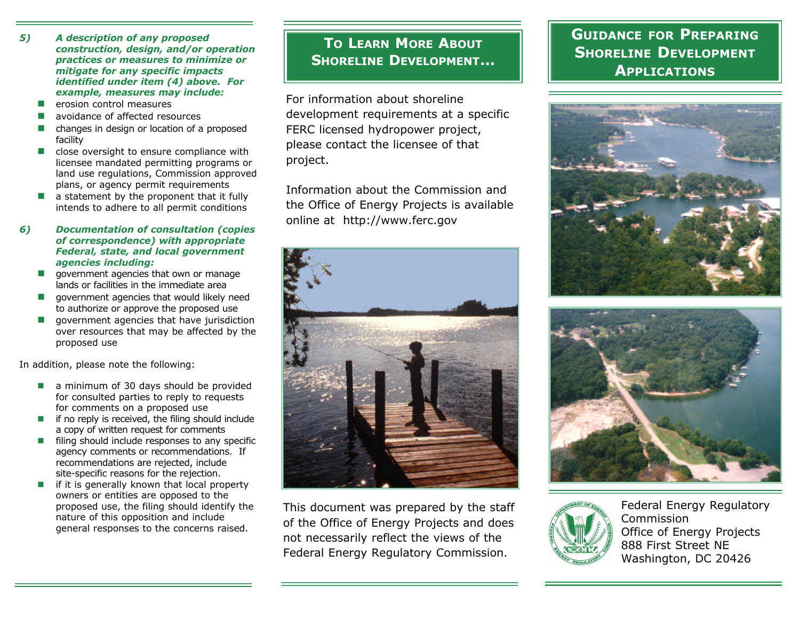- *5) A description of any proposed construction, design, and/or operation practices or measures to minimize or mitigate for any specific impacts identified under item (4) above. For example, measures may include:*
	- $\blacksquare$  erosion control measures
	- avoidance of affected resources
	- $\blacksquare$  changes in design or location of a proposed facility
	- $\blacksquare$  close oversight to ensure compliance with licensee mandated permitting programs or land use regulations, Commission approved plans, or agency permit requirements
	- $\blacksquare$  a statement by the proponent that it fully intends to adhere to all permit conditions

### *6) Documentation of consultation (copies of correspondence) with appropriate Federal, state, and local government agencies including:*

- $\Box$  government agencies that own or manage lands or facilities in the immediate area
- $\Box$  government agencies that would likely need to authorize or approve the proposed use
- $\Box$  government agencies that have jurisdiction over resources that may be affected by the proposed use

In addition, please note the following:

- $\blacksquare$  a minimum of 30 days should be provided for consulted parties to reply to requests for comments on a proposed use
- $\blacksquare$  if no reply is received, the filing should include a copy of written request for comments
- $\blacksquare$  filing should include responses to any specific agency comments or recommendations. If recommendations are rejected, include site-specific reasons for the rejection.
- $\blacksquare$  if it is generally known that local property owners or entities are opposed to the proposed use, the filing should identify the nature of this opposition and include general responses to the concerns raised.

## **TO LEARN MORE ABOUT SHORELINE DEVELOPMENT...**

For information about shoreline development requirements at a specific FERC licensed hydropower project, please contact the licensee of that project.

Information about the Commission and the Office of Energy Projects is available online at http://www.ferc.gov



This document was prepared by the staff of the Office of Energy Projects and does not necessarily reflect the views of the Federal Energy Regulatory Commission.

# **GUIDANCE FOR PREPARING SHORELINE DEVELOPMENT APPLICATIONS**







Federal Energy Regulatory Commission Office of Energy Projects 888 First Street NE Washington, DC 20426